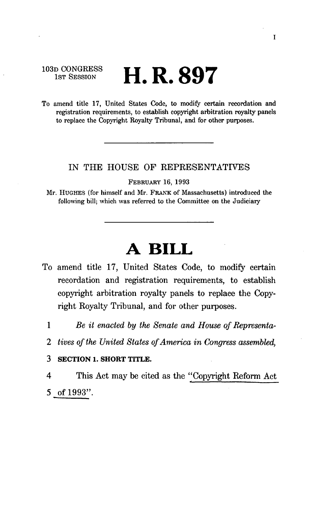103D CONGRESS<br>1st Session

# 1ST SESSION **H. R. 897**

To amend title 17, United States Code, to modify certain recordation and registration requirements, to establish copyright arbitration royalty panels to replace the Copyright Royalty Tribunal, and for other purposes.

### IN THE HOUSE OF REPRESENTATIVES

FEBRUARY 16, 1993

Mr. HUGHES (for himself and Mr. FRANK of Massachusetts) introduced the following bill; which was referred to the Committee on the Judiciary

# **A BILL**

- To amend title 17, United States Code, to modify certain recordation and registration requirements, to establish copyright arbitration royalty panels to replace the Copyright Royalty Tribunal, and for other purposes.
	- 1 *Be it enacted by the Senate and House of Representa-*
	- *2 tives of the United States of America in Congress assembled,*

**3 SECTION 1. SHORT TITLE.** 

4 This Act may be cited as the "Copyright Reform Act 5 of 1993".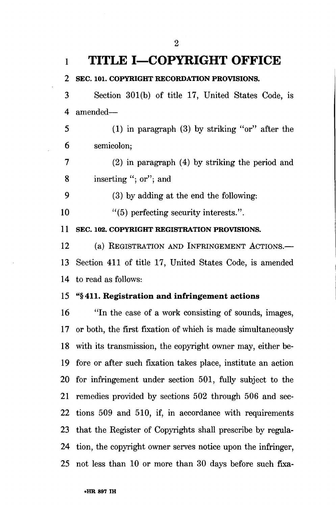**l TITLE I—COPYRIGHT OFFICE 2 SEC. 101. COPYRIGHT RECORDATION PROVISIONS.**  4 amended— 6 semicolon; 7 (2) in paragraph (4) by striking the period and 8 inserting "; or"; and 9 (3) by adding at the end the following: 10 "(5) perfecting security interests.". **11 SEC. 102. COPYRIGHT REGISTRATION PROVISIONS.**  12 (a) REGISTRATION AND INFRINGEMENT ACTIONS.— 14 to read as follows: 15 **"§411. Registration and infringement actions 16** "In the case of a work consisting of sounds, images, 17 or both, the first fixation of which is made simultaneously 18 with its transmission, the copyright owner may, either be-19 fore or after such fixation takes place, institute an action 20 for infringement under section 501, fully subject to the 21 remedies provided by sections 502 through 506 and sec-22 tions 509 and 510, if, in accordance with requirements 23 that the Register of Copyrights shall prescribe by regula-24 tion, the copyright owner serves notice upon the infringer,

25 not less than 10 or more than 30 days before such fixa-

**2** 

3 Section 301(b) of title 17, United States Code, is

5 (1) in paragraph (3) by striking "or" after the

13 Section 411 of title 17, United States Code, is amended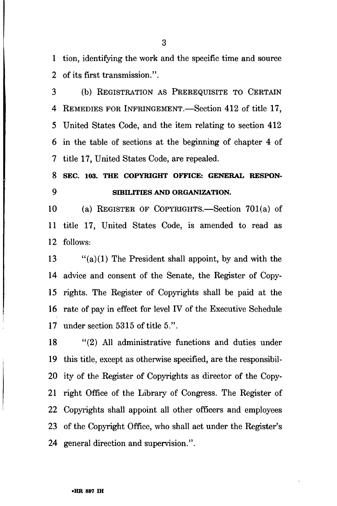1 tion, identifying the work and the specific time and source 2 of its first transmission.".

3 (b) REGISTRATION AS PREREQUISITE TO CERTAIN 4 REMEDIES FOR INFRINGEMENT.—Section 412 of title 17, 5 United States Code, and the item relating to section 412 6 in the table of sections at the beginning of chapter 4 of 7 title 17, United States Code, are repealed.

### **8 SEC. 103. THE COPYRIGHT OFFICE: GENERAL RESPON-9 SmiLITIES AND ORGANIZATION.**

10 (a) REGISTER OF COPYRIGHTS.—Section 701(a) of 11 title 17, United States Code, is amended to read as 12 follows:

13  $\frac{1}{2}$  (a)(1) The President shall appoint, by and with the 14 advice and consent of the Senate, the Register of Copy-15 rights. The Register of Copyrights shall be paid at the 16 rate of pay in effect for level IV of the Executive Schedule 17 under section 5315 of title 5.".

18 "(2) All administrative functions and duties under 19 this title, except as otherwise specified, are the responsibil-20 ity of the Register of Copyrights as director of the Copy-21 right Office of the Library of Congress. The Register of 22 Copyrights shall appoint all other officers and employees 23 of the Copyright Office, who shall act under the Register's 24 general direction and supervision.".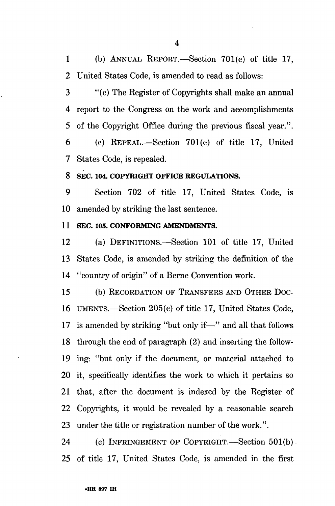1 (b) ANNUAL REPORT.—Section 701(c) of title 17, 2 United States Code, is amended to read as follows:

4

3 "(c) The Register of Copyrights shall make an annual 4 report to the Congress on the work and accomplishments 5 of the Copyright Office during the previous fiscal year.".

6 (c) REPEAL.—Section 701(e) of title 17, United 7 States Code, is repealed.

### **8 SEC. 104. COPYRIGHT OFFICE REGULATIONS.**

9 Section 702 of title 17, United States Code, is 10 amended by striking the last sentence.

### **11 SEC. 105. CONFORMING AMENDMENTS.**

12 (a) DEFINITIONS.—Section 101 of title 17, United 13 States Code, is amended by striking the definition of the 14 "country of origin" of a Berne Convention work.

15 (b) RECORDATION OF TRANSFERS AND OTHER DOC-16 UMENTS.—Section 205(c) of title 17, United States Code, 17 is amended by striking "but only if—" and all that follows 18 through the end of paragraph (2) and inserting the follow-19 ing: "but only if the document, or material attached to 20 it, specifically identifies the work to which it pertains so 21 that, after the document is indexed by the Register of 22 Copyrights, it would be revealed by a reasonable search 23 under the title or registration number of the work.".

24 (c) INFRINGEMENT OF COPYRIGHT.—Section 501(b). 25 of title 17, United States Code, is amended in the first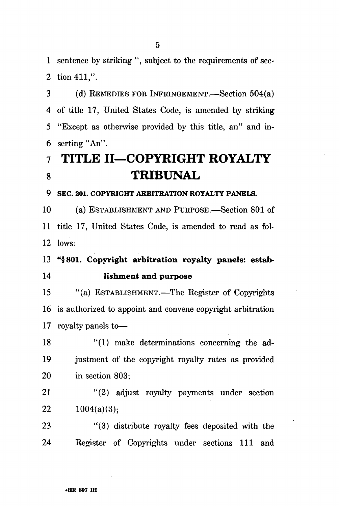1 sentence by striking ", subject to the requirements of sec-2 tion 411.".

3 (d) REMEDIES FOR INFRINGEMENT.—Section 504(a) 4 of title 17, United States Code, is amended by striking 5 "Except as otherwise provided by this title, an" and in-6 serting "An".

## **7 TITLE II—COPYRIGHT ROYALTY 8 TRIBUNAL**

#### **9 SEC. 201. COPYRIGHT ARBITRATION ROYALTY PANELS.**

10 (a) ESTABLISHMENT AND PURPOSE.—Section 801 of 11 title 17, United States Code, is amended to read as fol-12 lows:

### 13 "§801. Copyright arbitration royalty panels: estab-14 lishment and purpose

15 "(a) ESTABLISHMENT.—The Register of Copyrights 16 is authorized to appoint and convene copyright arbitration 17 royalty panels to—

18 "(1) make determinations concerning the ad-19 justment of the copyright royalty rates as provided 20 in section 803;

21 "(2) adjust royalty payments under section 22  $1004(a)(3);$ 

23 "(3) distribute royalty fees deposited with the 24 Register of Copyrights under sections 111 and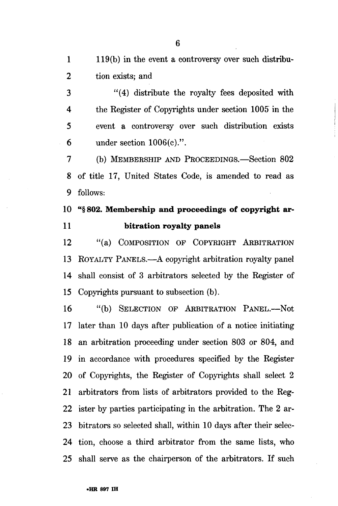1 119(b) in the event a controversy over such distribu-2 tion exists; and

3 "(4) distribute the royalty fees deposited with 4 the Register of Copyrights under section 1005 in the 5 event a controversy over such distribution exists 6 under section 1006(c).".

7 (b) MEMBERSHIP AND PROCEEDINGS.—Section 802 8 of title 17, United States Code, is amended to read as 9 follows:

### **10** "§ **802. Membership and proceedings of copyright ar-11 bitration royalty panels**

12 "(a) COMPOSITION OF COPYRIGHT ARBITRATION 13 ROYALTY PANELS.—A copyright arbitration royalty panel 14 shall consist of 3 arbitrators selected by the Register of 15 Copyrights pursuant to subsection (b).

16 "(b) SELECTION OP ARBITRATION PANEL.—Not 17 later than 10 days after publication of a notice initiating 18 an arbitration proceeding under section 803 or 804, and 19 in accordance with procedures specified by the Register 20 of Copyrights, the Register of Copyrights shall select 2 21 arbitrators from lists of arbitrators provided to the Reg-22 ister by parties participating in the arbitration. The 2 ar-23 bitrators so selected shall, within 10 days after their selec-24 tion, choose a third arbitrator from the same lists, who 25 shall serve as the chairperson of the arbitrators. If such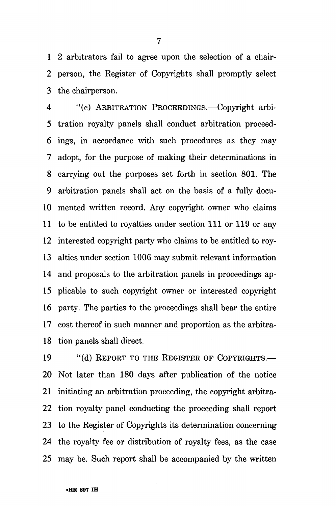1 2 arbitrators fail to agree upon the selection of a chair-2 person, the Register of Copyrights shall promptly select 3 the chairperson.

4 "(c) ARBITRATION PROCEEDINGS.—Copyright arbi-5 tration royalty panels shall conduct arbitration proceed-6 ings, in accordance with such procedures as they may 7 adopt, for the purpose of making their determinations in 8 carrying out the purposes set forth in section 801. The 9 arbitration panels shall act on the basis of a fully docu-10 mented written record. Any copyright owner who claims 11 to be entitled to royalties under section 111 or 119 or any 12 interested copyright party who claims to be entitled to roy-13 alties under section 1006 may submit relevant information 14 and proposals to the arbitration panels in proceedings ap-15 plicable to such copyright owner or interested copyright 16 party. The parties to the proceedings shall bear the entire 17 cost thereof in such manner and proportion as the arbitra-18 tion panels shall direct.

19 "(d) REPORT TO THE REGISTER OF COPYRIGHTS.-20 Not later than 180 days after publication of the notice 21 initiating an arbitration proceeding, the copyright arbitra-22 tion royalty panel conducting the proceeding shall report 23 to the Register of Copyrights its determination concerning 24 the royalty fee or distribution of royalty fees, as the case 25 may be. Such report shall be accompanied by the written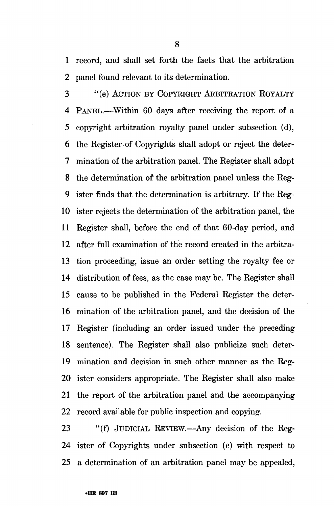1 record, and shall set forth the facts that the arbitration 2 panel found relevant to its determination.

3 "(e) ACTION BY COPYRIGHT ARBITRATION ROYALTY 4 PANEL.—Within 60 days after receiving the report of a 5 copyright arbitration royalty panel under subsection (d), 6 the Register of Copyrights shall adopt or reject the deter-7 mination of the arbitration panel. The Register shall adopt 8 the determination of the arbitration panel unless the Reg-9 ister finds that the determination is arbitrary. If the Reg-10 ister rejects the determination of the arbitration panel, the 11 Register shall, before the end of that 60-day period, and 12 after full examination of the record created in the arbitra-13 tion proceeding, issue an order setting the royalty fee or 14 distribution of fees, as the case may be. The Register shall 15 cause to be published in the Federal Register the deter-16 mination of the arbitration panel, and the decision of the 17 Register (including an order issued under the preceding 18 sentence). The Register shall also publicize such deter-19 mination and decision in such other manner as the Reg-20 ister considers appropriate. The Register shall also make 21 the report of the arbitration panel and the accompanying 22 record available for public inspection and copying.

23 "(f) JUDICIAL REVIEW.—Any decision of the Reg-24 ister of Copyrights under subsection (e) with respect to 25 a determination of an arbitration panel may be appealed,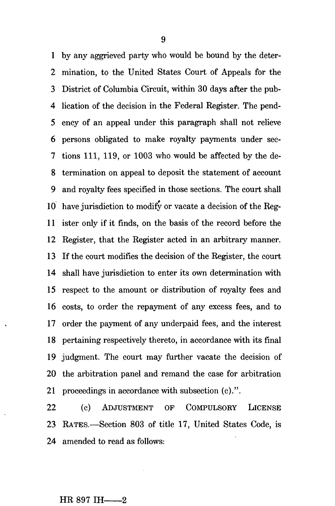1 by any aggrieved party who would be bound by the deter-2 mination, to the United States Court of Appeals for the 3 District of Columbia Circuit, within 30 days after the pub-4 lication of the decision in the Federal Register. The pend-5 ency of an appeal under this paragraph shall not relieve 6 persons obligated to make royalty payments under sec-7 tions 111, 119, or 1003 who would be affected by the de-8 termination on appeal to deposit the statement of account 9 and royalty fees specified in those sections. The court shall 10 have jurisdiction to modify or vacate a decision of the Reg-11 ister only if it finds, on the basis of the record before the 12 Register, that the Register acted in an arbitrary manner. 13 If the court modifies the decision of the Register, the court 14 shall have jurisdiction to enter its own determination with 15 respect to the amount or distribution of royalty fees and 16 costs, to order the repayment of any excess fees, and to 17 order the payment of any underpaid fees, and the interest 18 pertaining respectively thereto, in accordance with its final 19 judgment. The court may farther vacate the decision of 20 the arbitration panel and remand the ease for arbitration 21 proceedings in accordance with subsection (c).".

22 (c) ADJUSTMENT OF COMPULSORY LICENSE 23 RATES.—Section 803 of title 17, United States Code, is 24 amended to read as follows:

#### $HR 897$  IH  $-2$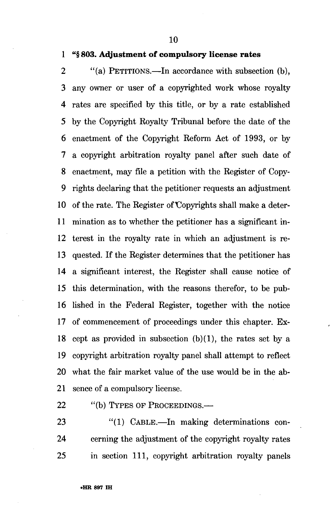**10** 

### **1 "§ 803. Adjustment of compulsory license rates**

2 "(a) PETITIONS.—In accordance with subsection (b), 3 any owner or user of a copyrighted work whose royalty 4 rates are specified by this title, or by a rate established 5 by the Copyright Royalty Tribunal before the date of the 6 enactment of the Copyright Reform Act of 1993, or by 7 a copyright arbitration royalty panel after such date of 8 enactment, may file a petition with the Register of Copy-9 rights declaring that the petitioner requests an adjustment 10 of the rate. The Register of Copyrights shall make a deter-11 mination as to whether the petitioner has a significant in-12 terest in the royalty rate in which an adjustment is re-13 quested. If the Register determines that the petitioner has 14 a significant interest, the Register shall cause notice of 15 this determination, with the reasons therefor, to be pub-16 lished in the Federal Register, together with the notice 17 of commencement of proceedings under this chapter. Ex-18 cept as provided in subsection  $(b)(1)$ , the rates set by a 19 copyright arbitration royalty panel shall attempt to reflect 20 what the fair market value of the use would be in the ab-21 sence of a compulsory license.

22 "(b) TYPES OF PROCEEDINGS.—

23 "(1) CABLE.—In making determinations con-24 cerning the adjustment of the copyright royalty rates 25 in section 111, copyright arbitration royalty panels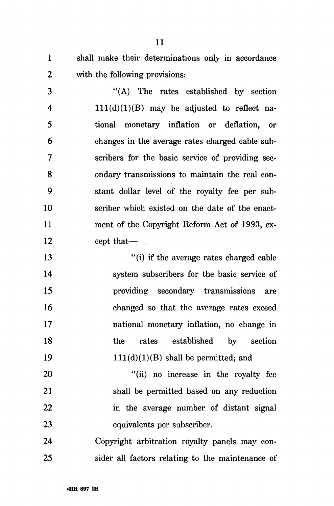1 shall make their determinations only in accordance 2 with the following provisions:

3 "(A) The rates established by section 4 111(d)(1)(B) may be adjusted to reflect na-5 tional monetary inflation or deflation, or 6 changes in the average rates charged cable sub-7 scribers for the basic service of providing sec-8 ondary transmissions to maintain the real con-9 stant dollar level of the royalty fee per sub-10 scriber which existed on the date of the enact-11 ment of the Copyright Reform Act of 1993, ex-12 cept that—

13 "(i) if the average rates charged cable 14 system subscribers for the basic service of 15 providing secondary transmissions are 16 changed so that the average rates exceed 17 national monetary inflation, no change in 18 the rates established by section 19  $111(d)(1)(B)$  shall be permitted; and

20 "(ii) no increase in the royalty fee 21 shall be permitted based on any reduction 22 in the average number of distant signal 23 equivalents per subscriber.

24 Copyright arbitration royalty panels may con-25 sider all factors relating to the maintenance of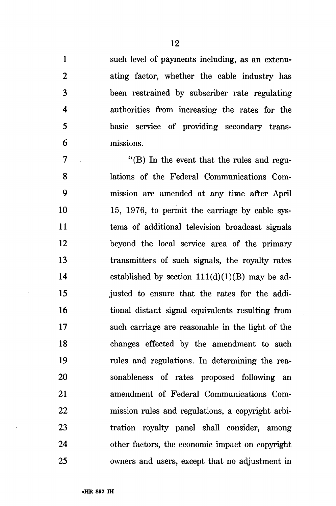such level of payments including, as an extenuating factor, whether the cable industry has been restrained by subscriber rate regulating authorities from increasing the rates for the basic service of providing secondary transmissions.

 $\overline{7}$ "(B) In the event that the rules and regu-8 lations of the Federal Communications Com-9 mission are amended at any time after April 10 15, 1976, to permit the carriage by cable sys-11 tems of additional television broadcast signals 12 beyond the local service area of the primary 13 transmitters of such signals, the royalty rates 14 established by section  $111(d)(1)(B)$  may be adjusted to ensure that the rates for the addi-15 16 tional distant signal equivalents resulting from 17 such carriage are reasonable in the light of the 18 changes effected by the amendment to such 19 rules and regulations. In determining the reasonableness of rates proposed following an 20 21 amendment of Federal Communications Commission rules and regulations, a copyright arbi-22 tration royalty panel shall consider, among 23 24 other factors, the economic impact on copyright 25 owners and users, except that no adjustment in

 $\mathbf{1}$ 

 $\overline{2}$ 

 $\mathbf 3$ 

 $\overline{\mathbf{A}}$ 

5

6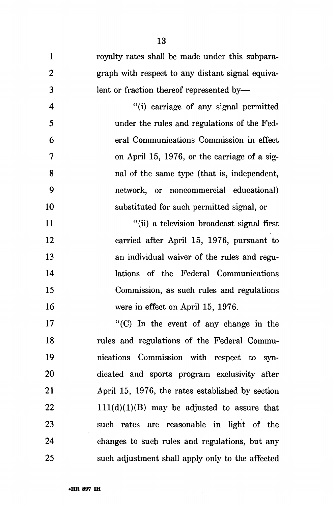1 royalty rates shall be made under this subpara-2 graph with respect to any distant signal equiva-3 lent or fraction thereof represented by—

4 "(i) carriage of any signal permitted 5 under the rules and regulations of the Fed-6 eral Communications Commission in effect 7 on April 15, 1976, or the carriage of a sig-8 nal of the same type (that is, independent, 9 network, or noncommercial educational) 10 substituted for such permitted signal, or

11 "(ii) a television broadcast signal first 12 carried after April 15, 1976, pursuant to 13 an individual waiver of the rules and regu-14 lations of the Federal Communications 15 Commission, as such rules and regulations 16 were in effect on April 15, 1976.

17 "(C) In the event of any change in the 18 rules and regulations of the Federal Commu-19 nications Commission with respect to syn-20 dicated and sports program exclusivity after 21 April 15, 1976, the rates established by section 22 111(d)(1)(B) may be adjusted to assure that 23 such rates are reasonable in light of the 24 changes to such rules and regulations, but any 25 such adjustment shall apply only to the affected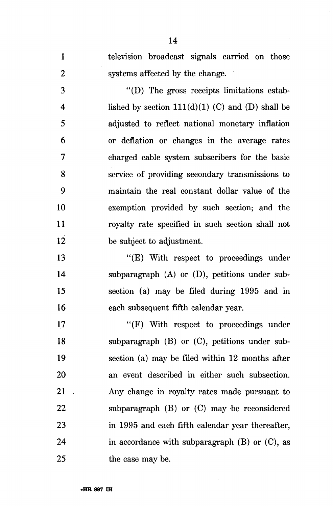television broadcast signals carried on those  $\mathbf{1}$  $\overline{2}$ systems affected by the change.

"(D) The gross receipts limitations estab-3  $\overline{\mathbf{4}}$ lished by section  $111(d)(1)$  (C) and (D) shall be 5 adjusted to reflect national monetary inflation 6 or deflation or changes in the average rates  $\overline{7}$ charged cable system subscribers for the basic service of providing secondary transmissions to 8 9 maintain the real constant dollar value of the 10 exemption provided by such section; and the 11 royalty rate specified in such section shall not 12 be subject to adjustment.

13 "(E) With respect to proceedings under subparagraph (A) or (D), petitions under sub-14 15 section (a) may be filed during 1995 and in 16 each subsequent fifth calendar year.

17 "(F) With respect to proceedings under subparagraph (B) or (C), petitions under sub-18 19 section (a) may be filed within 12 months after an event described in either such subsection. 20 Any change in royalty rates made pursuant to 21 subparagraph (B) or (C) may be reconsidered 22 23 in 1995 and each fifth calendar year thereafter, 24 in accordance with subparagraph  $(B)$  or  $(C)$ , as 25 the case may be.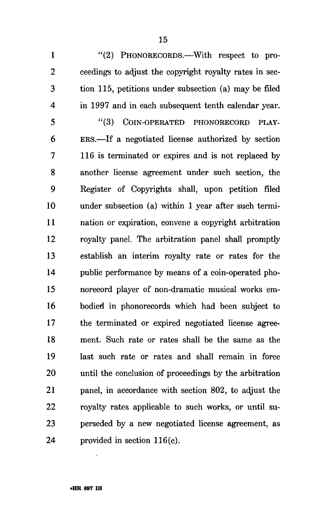1 "(2) PHONORECORDS.—With respect to pro-2 ceedings to adjust the copyright royalty rates in sec-3 tion 115, petitions under subsection (a) may be filed 4 in 1997 and in each subsequent tenth calendar year.

5 "(3) COIN-OPERATED PHONORECORD PLAY-6 ERS.—If a negotiated license authorized by section 7 116 is terminated or expires and is not replaced by 8 another license agreement under such section, the 9 Register of Copyrights shall, upon petition filed 10 under subsection (a) within 1 year after such termi-11 nation or expiration, convene a copyright arbitration 12 royalty panel. The arbitration panel shall promptly 13 establish an interim royalty rate or rates for the 14 public performance by means of a coin-operated pho-15 norecord player of non-dramatic musical works em-16 bodied in phonorecords which had been subject to 17 the terminated or expired negotiated license agree-18 ment. Such rate or rates shall be the same as the 19 last such rate or rates and shall remain in force 20 until the conclusion of proceedings by the arbitration 21 panel, in accordance with section 802, to adjust the 22 royalty rates applicable to such works, or until su-23 perseded by a new negotiated license agreement, as 24 provided in section 116(c).

15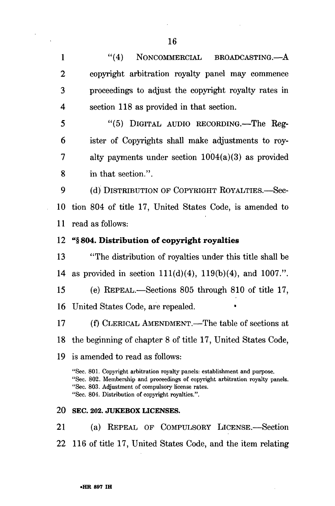1 "(4) NONCOMMERCIAL BROADCASTING.—A 2 copyright arbitration royalty panel may commence 3 proceedings to adjust the copyright royalty rates in 4 section 118 as provided in that section. 5 "(5) DIGITAL AUDIO RECORDING.—The Reg-

6 ister of Copyrights shall make adjustments to roy-7 alty payments under section 1004(a)(3) as provided 8 in that section.".

9 (d) DISTRIBUTION OF COPYRIGHT ROYALTIES.—Sec-10 tion 804 of title 17, United States Code, is amended to 11 read as follows:

### 12 "§ **804. Distribution of copyright royalties**

13 "The distribution of royalties under this title shall be 14 as provided in section 111(d)(4), 119(b)(4), and 1007.".

15 (e) REPEAL.—Sections 805 through 810 of title 17, 16 United States Code, are repealed. •

17 (f) CLERICAL AMENDMENT.—The table of sections at 18 the beginning of chapter 8 of title 17, United States Code,

### 19 is amended to read as follows:

"Sec. 801. Copyright arbitration royalty panels: establishment and purpose. "Sec. 802. Membership and proceedings of copyright arbitration royalty panels. "Sec. 803. Adjustment of compulsory license rates. "Sec. 804. Distribution of copyright royalties.".

### 20 SEC. 202. JUKEBOX LICENSES.

21 (a) REPEAL OF COMPULSORY LICENSE.—Section 22 116 of title 17, United States Code, and the item relating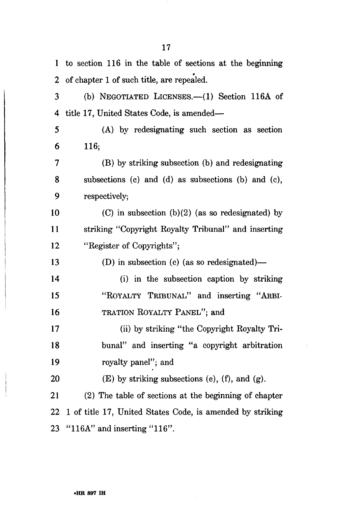1 to section 116 in the table of sections at the beginning 2 of chapter 1 of such title, are repealed. 3 (b) NEGOTIATED LICENSES.—(1) Section 116A of 4 title 17, United States Code, is amended— 5 (A) by redesignating such section as section 6 116; 7 (B) by striking subsection (b) and redesignating 8 subsections (c) and (d) as subsections (b) and (c), 9 respectively; 10 (C) in subsection  $(b)(2)$  (as so redesignated) by 11 striking "Copyright Royalty Tribunal" and inserting 12 "Register of Copyrights"; 13 (D) in subsection (c) (as so redesignated)— 14 (i) in the subsection caption by striking 15 "ROYALTY TRIBUNAL" and inserting "ARBI-16 TRATION ROYALTY PANEL"; and 17 (ii) by striking "the Copyright Royalty Tri-18 bunal" and inserting "a copyright arbitration 19 royalty panel"; and 20  $(E)$  by striking subsections (e), (f), and (g). 21 (2) The table of sections at the beginning of chapter 22 1 of title 17, United States Code, is amended by striking 23 "116A" and inserting "116".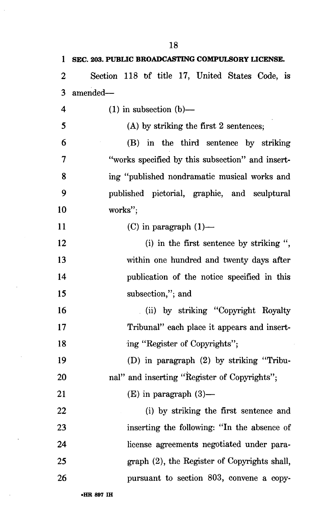| 1                | SEC. 203. PUBLIC BROADCASTING COMPULSORY LICENSE. |
|------------------|---------------------------------------------------|
| $\boldsymbol{2}$ | Section 118 of title 17, United States Code, is   |
| 3                | amended-                                          |
| 4                | $(1)$ in subsection $(b)$ —                       |
| 5                | $(A)$ by striking the first 2 sentences;          |
| 6                | (B) in the third sentence by striking             |
| 7                | "works specified by this subsection" and insert-  |
| 8                | ing "published nondramatic musical works and      |
| 9                | published pictorial, graphic, and sculptural      |
| 10               | works";                                           |
| 11               | (C) in paragraph $(1)$ —                          |
| 12               | (i) in the first sentence by striking ",          |
| 13               | within one hundred and twenty days after          |
| 14               | publication of the notice specified in this       |
| 15               | subsection,"; and                                 |
| 16               | (ii) by striking "Copyright Royalty               |
| 17               | Tribunal" each place it appears and insert-       |
| 18               | ing "Register of Copyrights";                     |
| 19               | (D) in paragraph (2) by striking "Tribu-          |
| 20               | nal" and inserting "Register of Copyrights";      |
| 21               | $(E)$ in paragraph $(3)$ —                        |
| 22               | (i) by striking the first sentence and            |
| 23               | inserting the following: "In the absence of       |
| 24               | license agreements negotiated under para-         |
| 25               | graph (2), the Register of Copyrights shall,      |
| 26               | pursuant to section 803, convene a copy-          |
|                  |                                                   |

18

 $\hat{\boldsymbol{\beta}}$ 

 $\hat{\mathcal{A}}$ 

 $\bar{\beta}$ 

 $\ddot{\phantom{a}}$ 

 $\bar{\bar{z}}$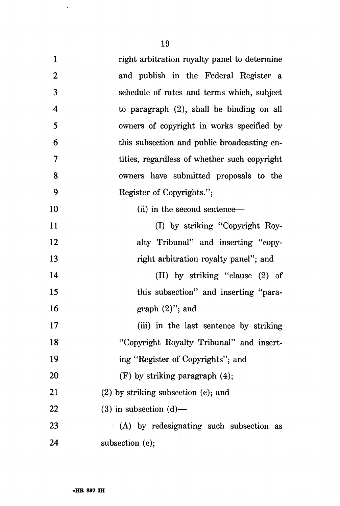$\langle \cdot, \cdot \rangle$ 

| $\mathbf{1}$     | right arbitration royalty panel to determine |
|------------------|----------------------------------------------|
| $\boldsymbol{2}$ | and publish in the Federal Register a        |
| 3                | schedule of rates and terms which, subject   |
| $\boldsymbol{4}$ | to paragraph $(2)$ , shall be binding on all |
| 5                | owners of copyright in works specified by    |
| 6                | this subsection and public broadcasting en-  |
| $\overline{7}$   | tities, regardless of whether such copyright |
| 8                | owners have submitted proposals to the       |
| 9                | Register of Copyrights.";                    |
| 10               | (ii) in the second sentence—                 |
| 11               | (I) by striking "Copyright Roy-              |
| 12               | alty Tribunal" and inserting "copy-          |
| 13               | right arbitration royalty panel"; and        |
| 14               | (II) by striking "clause (2) of              |
| 15               | this subsection" and inserting "para-        |
| 16               | graph $(2)$ "; and                           |
| 17               | (iii) in the last sentence by striking       |
| 18               | "Copyright Royalty Tribunal" and insert-     |
| 19               | ing "Register of Copyrights"; and            |
| 20               | $(F)$ by striking paragraph $(4)$ ;          |
| 21               | $(2)$ by striking subsection $(c)$ ; and     |
| 22               | $(3)$ in subsection $(d)$ —                  |
| 23               | (A) by redesignating such subsection as      |
| 24               | subsection (c);                              |

 $\mathcal{L}^{\text{max}}_{\text{max}}$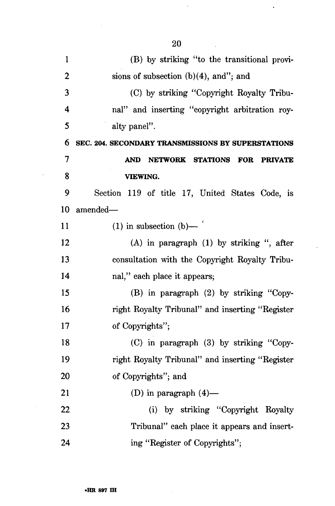| $\mathbf{1}$   | (B) by striking "to the transitional provi-          |
|----------------|------------------------------------------------------|
| $\overline{2}$ | sions of subsection $(b)(4)$ , and"; and             |
| 3              | (C) by striking "Copyright Royalty Tribu-            |
| 4              | nal" and inserting "copyright arbitration roy-       |
| 5              | alty panel".                                         |
| 6              | SEC. 204. SECONDARY TRANSMISSIONS BY SUPERSTATIONS   |
| $\overline{7}$ | NETWORK STATIONS FOR<br><b>AND</b><br><b>PRIVATE</b> |
| 8              | <b>VIEWING.</b>                                      |
| 9              | Section 119 of title 17, United States Code, is      |
| 10             | amended-                                             |
| 11             | $(1)$ in subsection $(b)$ —                          |
| 12             | (A) in paragraph (1) by striking ", after            |
| 13             | consultation with the Copyright Royalty Tribu-       |
| 14             | nal," each place it appears;                         |
| 15             | (B) in paragraph (2) by striking "Copy-              |
| 16             | right Royalty Tribunal" and inserting "Register      |
| 17             | of Copyrights";                                      |
| 18             | (C) in paragraph (3) by striking "Copy-              |
| 19             | right Royalty Tribunal" and inserting "Register      |
| 20             | of Copyrights"; and                                  |
| 21             | (D) in paragraph $(4)$ —                             |
| 22             | (i) by striking "Copyright Royalty                   |
| 23             | Tribunal" each place it appears and insert-          |
| 24             | ing "Register of Copyrights";                        |

 $\bar{z}$ 

 $\mathcal{A}^{\mathcal{A}}$ 

 $\mathcal{A}^{\mathcal{A}}$ 

 $\sim$ 

 $\ddot{\phantom{0}}$ 

 $\hat{\mathbf{v}}$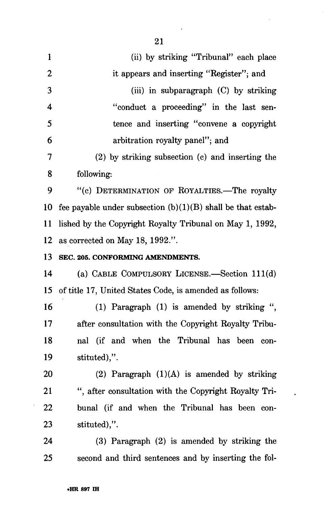| $\mathbf{1}$            | (ii) by striking "Tribunal" each place                        |
|-------------------------|---------------------------------------------------------------|
| $\boldsymbol{2}$        | it appears and inserting "Register"; and                      |
| 3                       | (iii) in subparagraph (C) by striking                         |
| $\overline{\mathbf{4}}$ | "conduct a proceeding" in the last sen-                       |
| 5                       | tence and inserting "convene a copyright                      |
| 6                       | arbitration royalty panel"; and                               |
| 7                       | (2) by striking subsection (c) and inserting the              |
| 8                       | following:                                                    |
| 9                       | "(c) DETERMINATION OF ROYALTIES.-The royalty                  |
| 10                      | fee payable under subsection $(b)(1)(B)$ shall be that estab- |
| 11                      | lished by the Copyright Royalty Tribunal on May 1, 1992,      |
| <u>12</u>               | as corrected on May 18, 1992.".                               |
| 13                      | SEC. 205. CONFORMING AMENDMENTS.                              |
| 14                      | (a) CABLE COMPULSORY LICENSE.-Section 111(d)                  |
| 15                      | of title 17, United States Code, is amended as follows:       |
| 16                      | (1) Paragraph $(1)$ is amended by striking ",                 |
| 17                      | after consultation with the Copyright Royalty Tribu-          |
| 18                      | nal (if and when the Tribunal has been con-                   |
| 19                      | stituted),".                                                  |
| <b>20</b>               | (2) Paragraph $(1)(A)$ is amended by striking                 |
| 21                      | ", after consultation with the Copyright Royalty Tri-         |
| 22                      | bunal (if and when the Tribunal has been con-                 |
| 23                      | stituted),".                                                  |
| 24                      | $(3)$ Paragraph $(2)$ is amended by striking the              |
| 25                      | second and third sentences and by inserting the fol-          |

 $\bar{\mathbf{z}}$ 

 $\ddot{\phantom{a}}$ 

 $\ddot{\phantom{1}}$ 

 $\sim 10^6$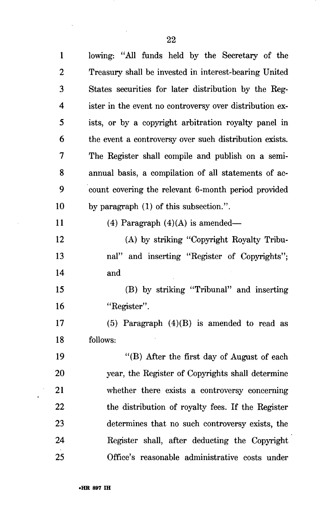$\overline{\phantom{a}}$ 

 $\sim$ 

 $\sim$ 

 $\hat{\mathcal{A}}$  $\bullet$  .

| $\mathbf{1}$   | lowing: "All funds held by the Secretary of the         |
|----------------|---------------------------------------------------------|
| $\overline{2}$ | Treasury shall be invested in interest-bearing United   |
| 3              | States securities for later distribution by the Reg-    |
| 4              | ister in the event no controversy over distribution ex- |
| 5              | ists, or by a copyright arbitration royalty panel in    |
| 6              | the event a controversy over such distribution exists.  |
| 7              | The Register shall compile and publish on a semi-       |
| 8              | annual basis, a compilation of all statements of ac-    |
| 9              | count covering the relevant 6-month period provided     |
| 10             | by paragraph (1) of this subsection.".                  |
| 11             | (4) Paragraph $(4)(A)$ is amended—                      |
| 12             | (A) by striking "Copyright Royalty Tribu-               |
| 13             | nal" and inserting "Register of Copyrights";            |
| 14             | and                                                     |
| 15             | (B) by striking "Tribunal" and inserting                |
| 16             | "Register".                                             |
| 17             | (5) Paragraph $(4)(B)$ is amended to read as            |
| 18             | follows:                                                |
| 19             | "(B) After the first day of August of each              |
| 20             | year, the Register of Copyrights shall determine        |
| 21             | whether there exists a controversy concerning           |
| 22             | the distribution of royalty fees. If the Register       |
| 23             | determines that no such controversy exists, the         |
| 24             | Register shall, after deducting the Copyright           |
| 25             | Office's reasonable administrative costs under          |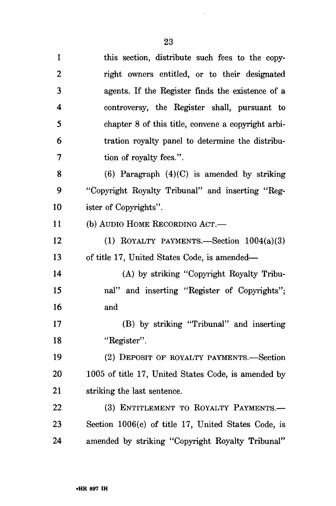$\sim 10^{-11}$ 

| $\mathbf{1}$ | this section, distribute such fees to the copy-     |
|--------------|-----------------------------------------------------|
| $\mathbf{2}$ | right owners entitled, or to their designated       |
| 3            | agents. If the Register finds the existence of a    |
| 4            | controversy, the Register shall, pursuant to        |
| 5            | chapter 8 of this title, convene a copyright arbi-  |
| 6            | tration royalty panel to determine the distribu-    |
| 7            | tion of royalty fees.".                             |
| 8            | $(6)$ Paragraph $(4)(C)$ is amended by striking     |
| 9            | "Copyright Royalty Tribunal" and inserting "Reg-    |
| 10           | ister of Copyrights".                               |
| 11           | (b) AUDIO HOME RECORDING ACT.—                      |
| 12           | (1) ROYALTY PAYMENTS.—Section $1004(a)(3)$          |
| 13           | of title 17, United States Code, is amended—        |
| 14           | (A) by striking "Copyright Royalty Tribu-           |
| 15           | nal" and inserting "Register of Copyrights";        |
| 16           | and                                                 |
| 17           | (B) by striking "Tribunal" and inserting            |
| 18           | "Register".                                         |
| 19           | (2) DEPOSIT OF ROYALTY PAYMENTS.—Section            |
| <b>20</b>    | 1005 of title 17, United States Code, is amended by |
| 21           | striking the last sentence.                         |
| 22           | (3) ENTITLEMENT TO ROYALTY PAYMENTS.-               |
| 23           | Section 1006(c) of title 17, United States Code, is |
| 24           | amended by striking "Copyright Royalty Tribunal"    |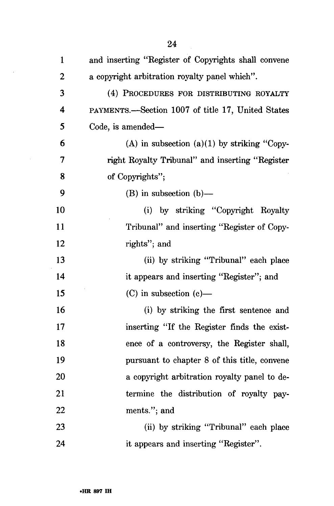| $\mathbf{1}$   | and inserting "Register of Copyrights shall convene |
|----------------|-----------------------------------------------------|
| $\overline{2}$ | a copyright arbitration royalty panel which".       |
| 3              | (4) PROCEDURES FOR DISTRIBUTING ROYALTY             |
| 4              | PAYMENTS.—Section 1007 of title 17, United States   |
| 5              | Code, is amended—                                   |
| 6              | (A) in subsection (a)(1) by striking "Copy-         |
| 7              | right Royalty Tribunal" and inserting "Register     |
| 8              | of Copyrights";                                     |
| 9              | $(B)$ in subsection $(b)$ —                         |
| 10             | (i) by striking "Copyright Royalty                  |
| 11             | Tribunal" and inserting "Register of Copy-          |
| 12             | rights"; and                                        |
| 13             | (ii) by striking "Tribunal" each place              |
| 14             | it appears and inserting "Register"; and            |
| 15             | $(C)$ in subsection $(e)$ —                         |
| 16             | (i) by striking the first sentence and              |
| 17             | inserting "If the Register finds the exist-         |
| 18             | ence of a controversy, the Register shall,          |
| 19             | pursuant to chapter 8 of this title, convene        |
| 20             | a copyright arbitration royalty panel to de-        |
| 21             | termine the distribution of royalty pay-            |
| 22             | ments."; and                                        |
| 23             | (ii) by striking "Tribunal" each place              |
| 24             | it appears and inserting "Register".                |

 $\sim$ 

 $\sim 10^{-10}$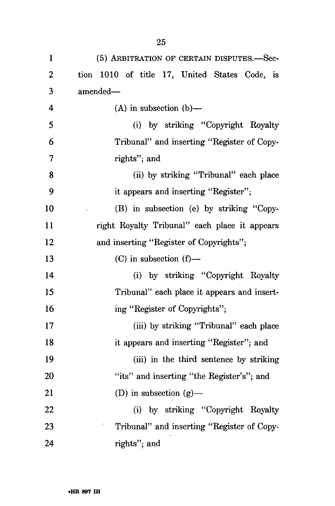| 1              | (5) ARBITRATION OF CERTAIN DISPUTES.—Sec-     |
|----------------|-----------------------------------------------|
| $\overline{2}$ | tion 1010 of title 17, United States Code, is |
| 3              | amended-                                      |
| $\overline{4}$ | $(A)$ in subsection $(b)$ —                   |
| 5              | (i) by striking "Copyright Royalty            |
| 6              | Tribunal" and inserting "Register of Copy-    |
| 7              | rights"; and                                  |
| 8              | (ii) by striking "Tribunal" each place        |
| 9              | it appears and inserting "Register";          |
| 10             | (B) in subsection (e) by striking "Copy-      |
| 11             | right Royalty Tribunal" each place it appears |
| 12             | and inserting "Register of Copyrights";       |
| 13             | $(C)$ in subsection $(f)$ —                   |
| 14             | (i) by striking "Copyright Royalty            |
| 15             | Tribunal" each place it appears and insert-   |
| 16             | ing "Register of Copyrights";                 |
| 17             | (iii) by striking "Tribunal" each place       |
| 18             | it appears and inserting "Register"; and      |
| 19             | (iii) in the third sentence by striking       |
| 20             | "its" and inserting "the Register's"; and     |
| 21             | (D) in subsection $(g)$ —                     |
| 22             | (i) by striking "Copyright Royalty            |
| 23             | Tribunal" and inserting "Register of Copy-    |
| 24             | rights"; and                                  |